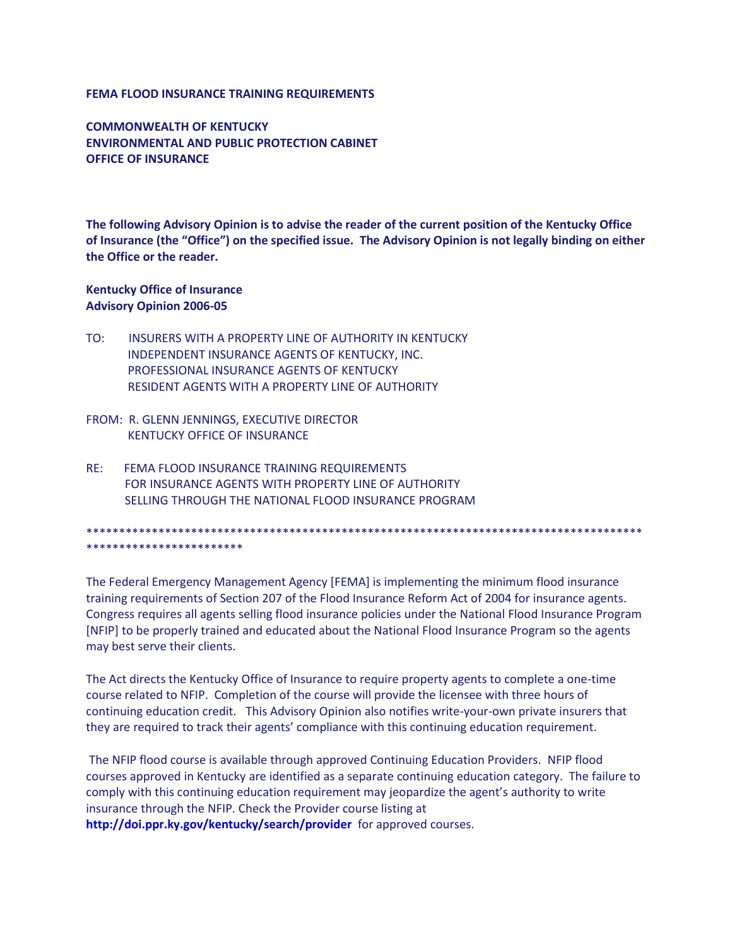## **FEMA FLOOD INSURANCE TRAINING REQUIREMENTS**

**COMMONWEALTH OF KENTUCKY ENVIRONMENTAL AND PUBLIC PROTECTION CABINET OFFICE OF INSURANCE**

**The following Advisory Opinion is to advise the reader of the current position of the Kentucky Office of Insurance (the "Office") on the specified issue. The Advisory Opinion is not legally binding on either the Office or the reader.**

## **Kentucky Office of Insurance Advisory Opinion 2006-05**

- TO: INSURERS WITH A PROPERTY LINE OF AUTHORITY IN KENTUCKY INDEPENDENT INSURANCE AGENTS OF KENTUCKY, INC. PROFESSIONAL INSURANCE AGENTS OF KENTUCKY RESIDENT AGENTS WITH A PROPERTY LINE OF AUTHORITY
- FROM: R. GLENN JENNINGS, EXECUTIVE DIRECTOR KENTUCKY OFFICE OF INSURANCE
- RE: FEMA FLOOD INSURANCE TRAINING REQUIREMENTS FOR INSURANCE AGENTS WITH PROPERTY LINE OF AUTHORITY SELLING THROUGH THE NATIONAL FLOOD INSURANCE PROGRAM

\*\*\*\*\*\*\*\*\*\*\*\*\*\*\*\*\*\*\*\*\*\*\*\*\*\*\*\*\*\*\*\*\*\*\*\*\*\*\*\*\*\*\*\*\*\*\*\*\*\*\*\*\*\*\*\*\*\*\*\*\*\*\*\*\*\*\*\*\*\*\*\*\*\*\*\*\*\*\*\*\*\*\*\*\* \*\*\*\*\*\*\*\*\*\*\*\*\*\*\*\*\*\*\*\*\*\*\*\*

The Federal Emergency Management Agency [FEMA] is implementing the minimum flood insurance training requirements of Section 207 of the Flood Insurance Reform Act of 2004 for insurance agents. Congress requires all agents selling flood insurance policies under the National Flood Insurance Program [NFIP] to be properly trained and educated about the National Flood Insurance Program so the agents may best serve their clients.

The Act directs the Kentucky Office of Insurance to require property agents to complete a one-time course related to NFIP. Completion of the course will provide the licensee with three hours of continuing education credit. This Advisory Opinion also notifies write-your-own private insurers that they are required to track their agents' compliance with this continuing education requirement.

The NFIP flood course is available through approved Continuing Education Providers. NFIP flood courses approved in Kentucky are identified as a separate continuing education category. The failure to comply with this continuing education requirement may jeopardize the agent's authority to write insurance through the NFIP. Check the Provider course listing at

**<http://doi.ppr.ky.gov/kentucky/search/provider>** for approved courses.